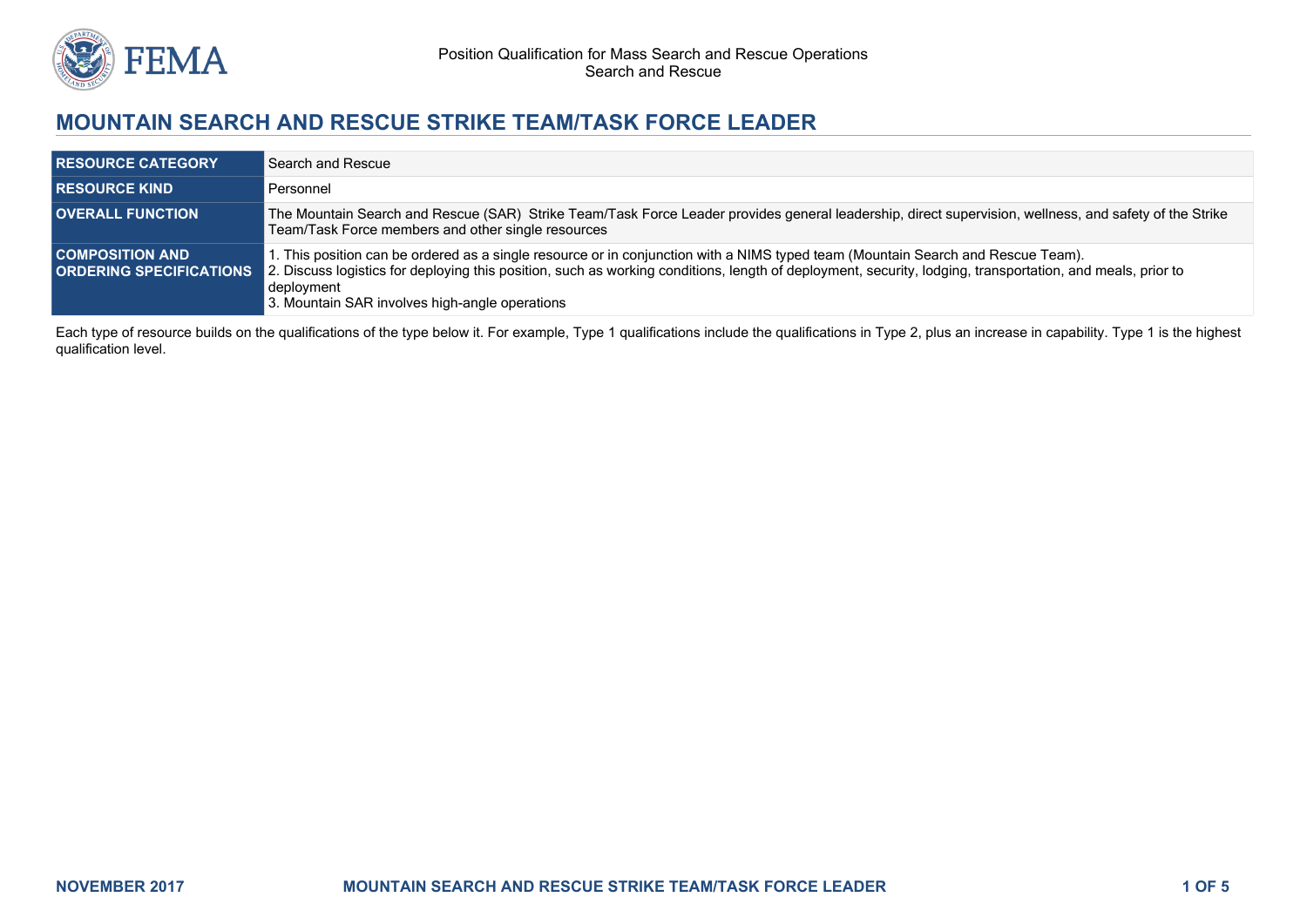

# **MOUNTAIN SEARCH AND RESCUE STRIKE TEAM/TASK FORCE LEADER**

| <b>RESOURCE CATEGORY</b>                                 | Search and Rescue                                                                                                                                                                                                                                                                                                                                              |
|----------------------------------------------------------|----------------------------------------------------------------------------------------------------------------------------------------------------------------------------------------------------------------------------------------------------------------------------------------------------------------------------------------------------------------|
| <b>RESOURCE KIND</b>                                     | Personnel                                                                                                                                                                                                                                                                                                                                                      |
| <b>OVERALL FUNCTION</b>                                  | The Mountain Search and Rescue (SAR) Strike Team/Task Force Leader provides general leadership, direct supervision, wellness, and safety of the Strike<br>Team/Task Force members and other single resources                                                                                                                                                   |
| <b>COMPOSITION AND</b><br><b>ORDERING SPECIFICATIONS</b> | I. This position can be ordered as a single resource or in conjunction with a NIMS typed team (Mountain Search and Rescue Team).<br>2. Discuss logistics for deploying this position, such as working conditions, length of deployment, security, lodging, transportation, and meals, prior to<br>deployment<br>3. Mountain SAR involves high-angle operations |

Each type of resource builds on the qualifications of the type below it. For example, Type 1 qualifications include the qualifications in Type 2, plus an increase in capability. Type 1 is the highest qualification level.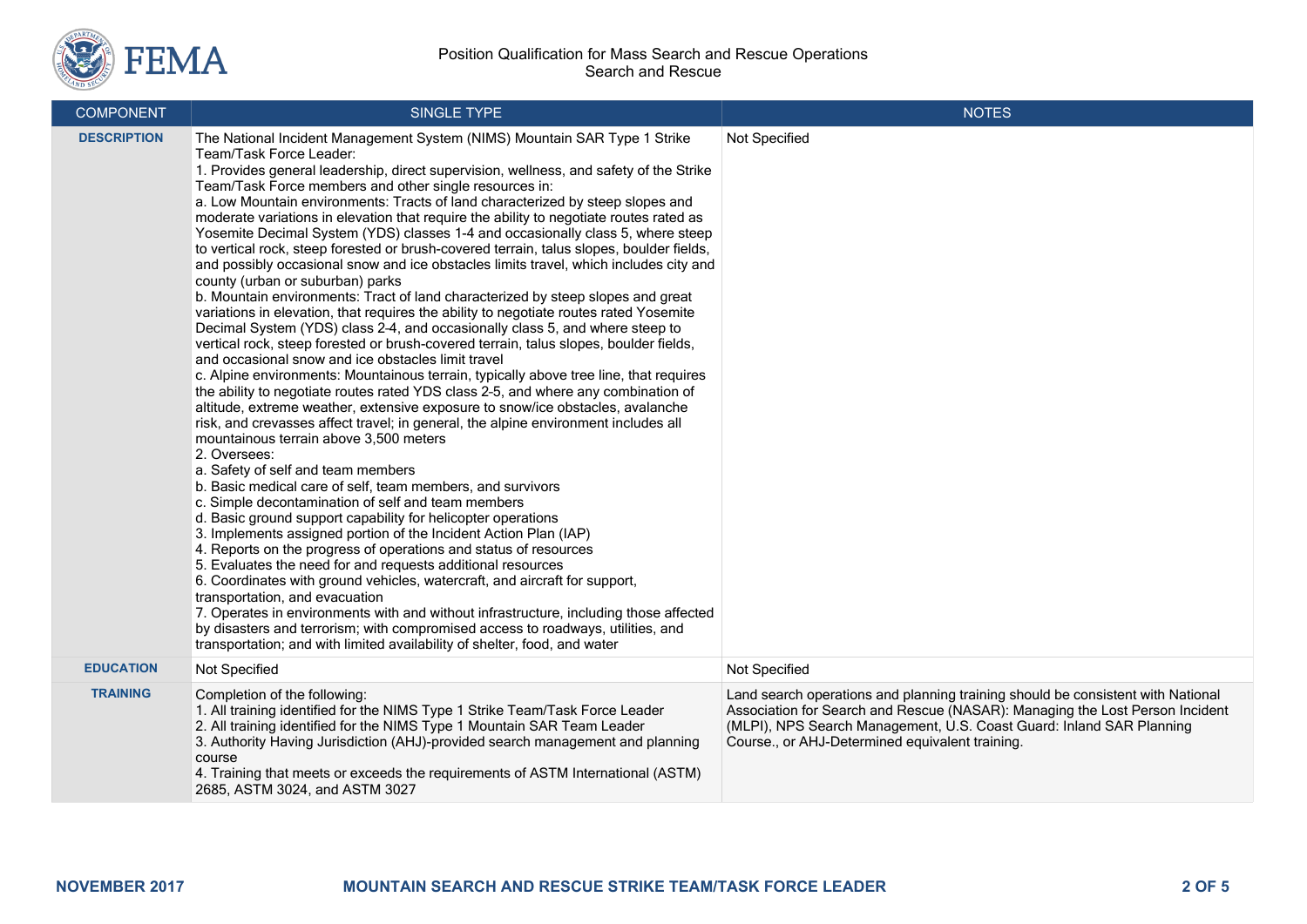

### Position Qualification for Mass Search and Rescue Operations Search and Rescue

| <b>COMPONENT</b>   | SINGLE TYPE                                                                                                                                                                                                                                                                                                                                                                                                                                                                                                                                                                                                                                                                                                                                                                                                                                                                                                                                                                                                                                                                                                                                                                                                                                                                                                                                                                                                                                                                                                                                                                                                                                                                                                                                                                                                                                                                                                                                                                                                                                                                                                                                                                                                                                                                                                                                                                           | <b>NOTES</b>                                                                                                                                                                                                                                                                               |
|--------------------|---------------------------------------------------------------------------------------------------------------------------------------------------------------------------------------------------------------------------------------------------------------------------------------------------------------------------------------------------------------------------------------------------------------------------------------------------------------------------------------------------------------------------------------------------------------------------------------------------------------------------------------------------------------------------------------------------------------------------------------------------------------------------------------------------------------------------------------------------------------------------------------------------------------------------------------------------------------------------------------------------------------------------------------------------------------------------------------------------------------------------------------------------------------------------------------------------------------------------------------------------------------------------------------------------------------------------------------------------------------------------------------------------------------------------------------------------------------------------------------------------------------------------------------------------------------------------------------------------------------------------------------------------------------------------------------------------------------------------------------------------------------------------------------------------------------------------------------------------------------------------------------------------------------------------------------------------------------------------------------------------------------------------------------------------------------------------------------------------------------------------------------------------------------------------------------------------------------------------------------------------------------------------------------------------------------------------------------------------------------------------------------|--------------------------------------------------------------------------------------------------------------------------------------------------------------------------------------------------------------------------------------------------------------------------------------------|
| <b>DESCRIPTION</b> | The National Incident Management System (NIMS) Mountain SAR Type 1 Strike<br>Team/Task Force Leader:<br>1. Provides general leadership, direct supervision, wellness, and safety of the Strike<br>Team/Task Force members and other single resources in:<br>a. Low Mountain environments: Tracts of land characterized by steep slopes and<br>moderate variations in elevation that require the ability to negotiate routes rated as<br>Yosemite Decimal System (YDS) classes 1-4 and occasionally class 5, where steep<br>to vertical rock, steep forested or brush-covered terrain, talus slopes, boulder fields,<br>and possibly occasional snow and ice obstacles limits travel, which includes city and<br>county (urban or suburban) parks<br>b. Mountain environments: Tract of land characterized by steep slopes and great<br>variations in elevation, that requires the ability to negotiate routes rated Yosemite<br>Decimal System (YDS) class 2-4, and occasionally class 5, and where steep to<br>vertical rock, steep forested or brush-covered terrain, talus slopes, boulder fields,<br>and occasional snow and ice obstacles limit travel<br>c. Alpine environments: Mountainous terrain, typically above tree line, that requires<br>the ability to negotiate routes rated YDS class 2-5, and where any combination of<br>altitude, extreme weather, extensive exposure to snow/ice obstacles, avalanche<br>risk, and crevasses affect travel; in general, the alpine environment includes all<br>mountainous terrain above 3,500 meters<br>2. Oversees:<br>a. Safety of self and team members<br>b. Basic medical care of self, team members, and survivors<br>c. Simple decontamination of self and team members<br>d. Basic ground support capability for helicopter operations<br>3. Implements assigned portion of the Incident Action Plan (IAP)<br>4. Reports on the progress of operations and status of resources<br>5. Evaluates the need for and requests additional resources<br>6. Coordinates with ground vehicles, watercraft, and aircraft for support,<br>transportation, and evacuation<br>7. Operates in environments with and without infrastructure, including those affected<br>by disasters and terrorism; with compromised access to roadways, utilities, and<br>transportation; and with limited availability of shelter, food, and water | Not Specified                                                                                                                                                                                                                                                                              |
| <b>EDUCATION</b>   | Not Specified                                                                                                                                                                                                                                                                                                                                                                                                                                                                                                                                                                                                                                                                                                                                                                                                                                                                                                                                                                                                                                                                                                                                                                                                                                                                                                                                                                                                                                                                                                                                                                                                                                                                                                                                                                                                                                                                                                                                                                                                                                                                                                                                                                                                                                                                                                                                                                         | Not Specified                                                                                                                                                                                                                                                                              |
| <b>TRAINING</b>    | Completion of the following:<br>1. All training identified for the NIMS Type 1 Strike Team/Task Force Leader<br>2. All training identified for the NIMS Type 1 Mountain SAR Team Leader<br>3. Authority Having Jurisdiction (AHJ)-provided search management and planning<br>course<br>4. Training that meets or exceeds the requirements of ASTM International (ASTM)<br>2685, ASTM 3024, and ASTM 3027                                                                                                                                                                                                                                                                                                                                                                                                                                                                                                                                                                                                                                                                                                                                                                                                                                                                                                                                                                                                                                                                                                                                                                                                                                                                                                                                                                                                                                                                                                                                                                                                                                                                                                                                                                                                                                                                                                                                                                              | Land search operations and planning training should be consistent with National<br>Association for Search and Rescue (NASAR): Managing the Lost Person Incident<br>(MLPI), NPS Search Management, U.S. Coast Guard: Inland SAR Planning<br>Course., or AHJ-Determined equivalent training. |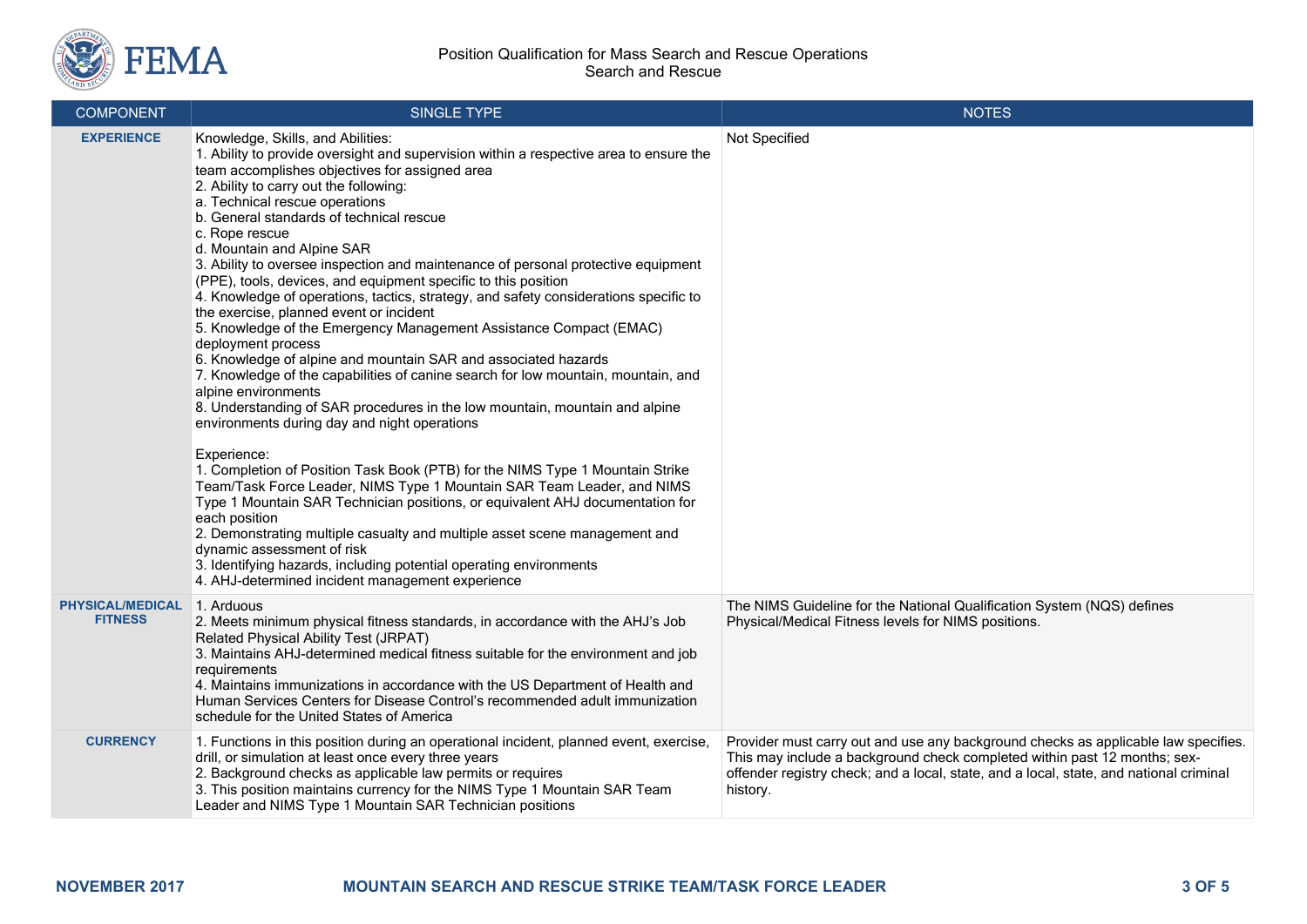

| <b>COMPONENT</b>                          | <b>SINGLE TYPE</b>                                                                                                                                                                                                                                                                                                                                                                                                                                                                                                                                                                                                                                                                                                                                                                                                                                                                                                                                                                                                                                                                                                                                                                                                                                                                                                                                                                                                                                                                                                                                                         | <b>NOTES</b>                                                                                                                                                                                                                                                          |
|-------------------------------------------|----------------------------------------------------------------------------------------------------------------------------------------------------------------------------------------------------------------------------------------------------------------------------------------------------------------------------------------------------------------------------------------------------------------------------------------------------------------------------------------------------------------------------------------------------------------------------------------------------------------------------------------------------------------------------------------------------------------------------------------------------------------------------------------------------------------------------------------------------------------------------------------------------------------------------------------------------------------------------------------------------------------------------------------------------------------------------------------------------------------------------------------------------------------------------------------------------------------------------------------------------------------------------------------------------------------------------------------------------------------------------------------------------------------------------------------------------------------------------------------------------------------------------------------------------------------------------|-----------------------------------------------------------------------------------------------------------------------------------------------------------------------------------------------------------------------------------------------------------------------|
| <b>EXPERIENCE</b>                         | Knowledge, Skills, and Abilities:<br>1. Ability to provide oversight and supervision within a respective area to ensure the<br>team accomplishes objectives for assigned area<br>2. Ability to carry out the following:<br>a. Technical rescue operations<br>b. General standards of technical rescue<br>c. Rope rescue<br>d. Mountain and Alpine SAR<br>3. Ability to oversee inspection and maintenance of personal protective equipment<br>(PPE), tools, devices, and equipment specific to this position<br>4. Knowledge of operations, tactics, strategy, and safety considerations specific to<br>the exercise, planned event or incident<br>5. Knowledge of the Emergency Management Assistance Compact (EMAC)<br>deployment process<br>6. Knowledge of alpine and mountain SAR and associated hazards<br>7. Knowledge of the capabilities of canine search for low mountain, mountain, and<br>alpine environments<br>8. Understanding of SAR procedures in the low mountain, mountain and alpine<br>environments during day and night operations<br>Experience:<br>1. Completion of Position Task Book (PTB) for the NIMS Type 1 Mountain Strike<br>Team/Task Force Leader, NIMS Type 1 Mountain SAR Team Leader, and NIMS<br>Type 1 Mountain SAR Technician positions, or equivalent AHJ documentation for<br>each position<br>2. Demonstrating multiple casualty and multiple asset scene management and<br>dynamic assessment of risk<br>3. Identifying hazards, including potential operating environments<br>4. AHJ-determined incident management experience | Not Specified                                                                                                                                                                                                                                                         |
| <b>PHYSICAL/MEDICAL</b><br><b>FITNESS</b> | 1. Arduous<br>2. Meets minimum physical fitness standards, in accordance with the AHJ's Job<br>Related Physical Ability Test (JRPAT)<br>3. Maintains AHJ-determined medical fitness suitable for the environment and job<br>requirements<br>4. Maintains immunizations in accordance with the US Department of Health and<br>Human Services Centers for Disease Control's recommended adult immunization<br>schedule for the United States of America                                                                                                                                                                                                                                                                                                                                                                                                                                                                                                                                                                                                                                                                                                                                                                                                                                                                                                                                                                                                                                                                                                                      | The NIMS Guideline for the National Qualification System (NQS) defines<br>Physical/Medical Fitness levels for NIMS positions.                                                                                                                                         |
| <b>CURRENCY</b>                           | 1. Functions in this position during an operational incident, planned event, exercise,<br>drill, or simulation at least once every three years<br>2. Background checks as applicable law permits or requires<br>3. This position maintains currency for the NIMS Type 1 Mountain SAR Team<br>Leader and NIMS Type 1 Mountain SAR Technician positions                                                                                                                                                                                                                                                                                                                                                                                                                                                                                                                                                                                                                                                                                                                                                                                                                                                                                                                                                                                                                                                                                                                                                                                                                      | Provider must carry out and use any background checks as applicable law specifies.<br>This may include a background check completed within past 12 months; sex-<br>offender registry check; and a local, state, and a local, state, and national criminal<br>history. |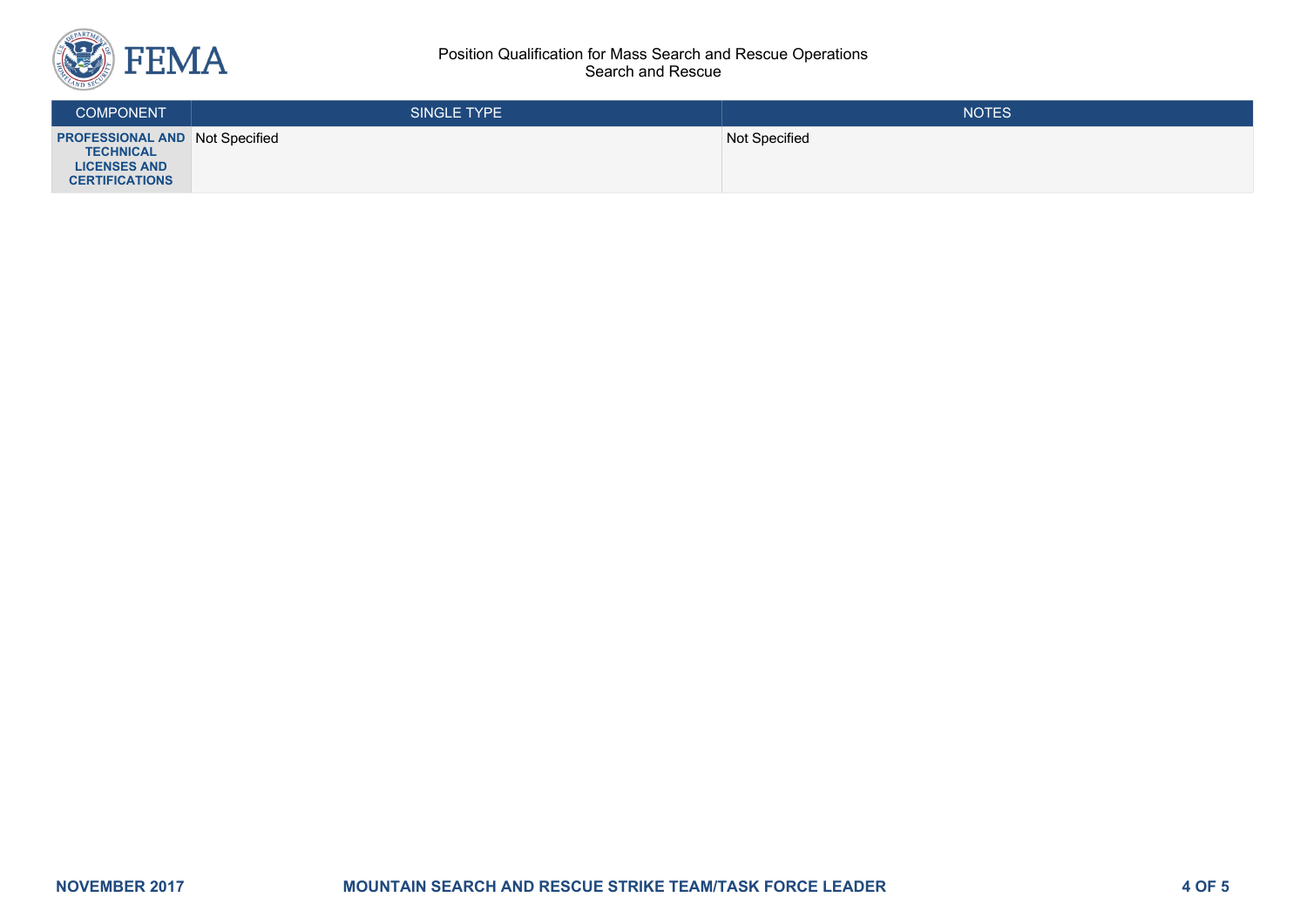

#### Position Qualification for Mass Search and Rescue Operations Search and Rescue

| <b>COMPONENT</b>                                                                                          | <b>SINGLE TYPE</b> | <b>NOTES</b>  |
|-----------------------------------------------------------------------------------------------------------|--------------------|---------------|
| <b>PROFESSIONAL AND Not Specified</b><br><b>TECHNICAL</b><br><b>LICENSES AND</b><br><b>CERTIFICATIONS</b> |                    | Not Specified |